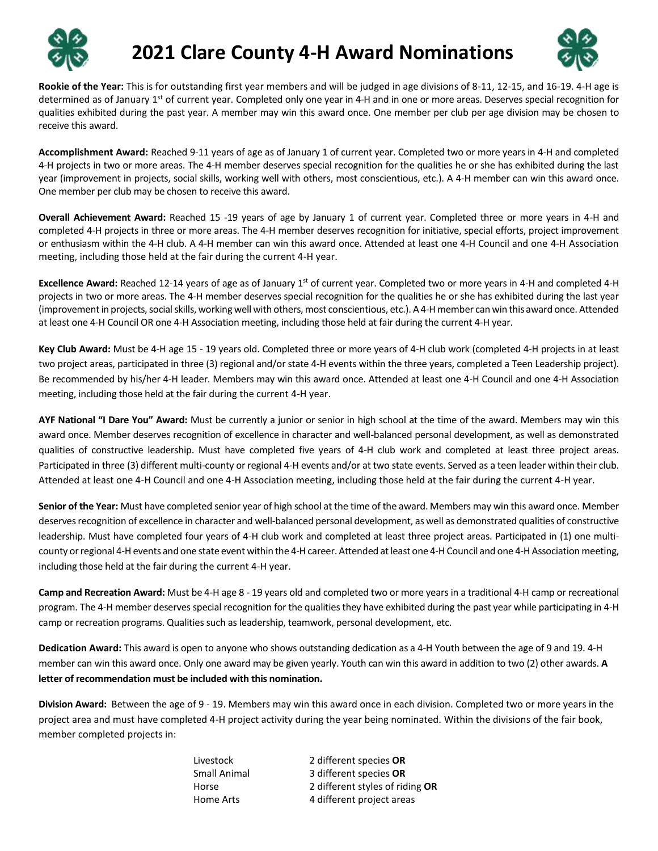



**Rookie of the Year:** This is for outstanding first year members and will be judged in age divisions of 8-11, 12-15, and 16-19. 4-H age is determined as of January 1<sup>st</sup> of current year. Completed only one year in 4-H and in one or more areas. Deserves special recognition for qualities exhibited during the past year. A member may win this award once. One member per club per age division may be chosen to receive this award.

**Accomplishment Award:** Reached 9-11 years of age as of January 1 of current year. Completed two or more years in 4-H and completed 4-H projects in two or more areas. The 4-H member deserves special recognition for the qualities he or she has exhibited during the last year (improvement in projects, social skills, working well with others, most conscientious, etc.). A 4-H member can win this award once. One member per club may be chosen to receive this award.

**Overall Achievement Award:** Reached 15 -19 years of age by January 1 of current year. Completed three or more years in 4-H and completed 4-H projects in three or more areas. The 4-H member deserves recognition for initiative, special efforts, project improvement or enthusiasm within the 4-H club. A 4-H member can win this award once. Attended at least one 4-H Council and one 4-H Association meeting, including those held at the fair during the current 4-H year.

**Excellence Award:** Reached 12-14 years of age as of January 1<sup>st</sup> of current year. Completed two or more years in 4-H and completed 4-H projects in two or more areas. The 4-H member deserves special recognition for the qualities he or she has exhibited during the last year (improvement in projects, social skills, working well with others, most conscientious, etc.). A 4-H member can win this award once. Attended at least one 4-H Council OR one 4-H Association meeting, including those held at fair during the current 4-H year.

**Key Club Award:** Must be 4-H age 15 - 19 years old. Completed three or more years of 4-H club work (completed 4-H projects in at least two project areas, participated in three (3) regional and/or state 4-H events within the three years, completed a Teen Leadership project). Be recommended by his/her 4-H leader. Members may win this award once. Attended at least one 4-H Council and one 4-H Association meeting, including those held at the fair during the current 4-H year.

**AYF National "I Dare You" Award:** Must be currently a junior or senior in high school at the time of the award. Members may win this award once. Member deserves recognition of excellence in character and well-balanced personal development, as well as demonstrated qualities of constructive leadership. Must have completed five years of 4-H club work and completed at least three project areas. Participated in three (3) different multi-county or regional 4-H events and/or at two state events. Served as a teen leader within their club. Attended at least one 4-H Council and one 4-H Association meeting, including those held at the fair during the current 4-H year.

**Senior of the Year:** Must have completed senior year of high school at the time of the award. Members may win this award once. Member deserves recognition of excellence in character and well-balanced personal development, as well as demonstrated qualities of constructive leadership. Must have completed four years of 4-H club work and completed at least three project areas. Participated in (1) one multicounty or regional 4-H events and one state event within the 4-H career. Attended at least one 4-H Council and one 4-H Association meeting, including those held at the fair during the current 4-H year.

**Camp and Recreation Award:** Must be 4-H age 8 - 19 years old and completed two or more years in a traditional 4-H camp or recreational program. The 4-H member deserves special recognition for the qualities they have exhibited during the past year while participating in 4-H camp or recreation programs. Qualities such as leadership, teamwork, personal development, etc.

**Dedication Award:** This award is open to anyone who shows outstanding dedication as a 4-H Youth between the age of 9 and 19. 4-H member can win this award once. Only one award may be given yearly. Youth can win this award in addition to two (2) other awards. **A letter of recommendation must be included with this nomination.**

**Division Award:** Between the age of 9 - 19. Members may win this award once in each division. Completed two or more years in the project area and must have completed 4-H project activity during the year being nominated. Within the divisions of the fair book, member completed projects in:

| Livestock    | 2 different species OR          |
|--------------|---------------------------------|
| Small Animal | 3 different species OR          |
| Horse        | 2 different styles of riding OR |
| Home Arts    | 4 different project areas       |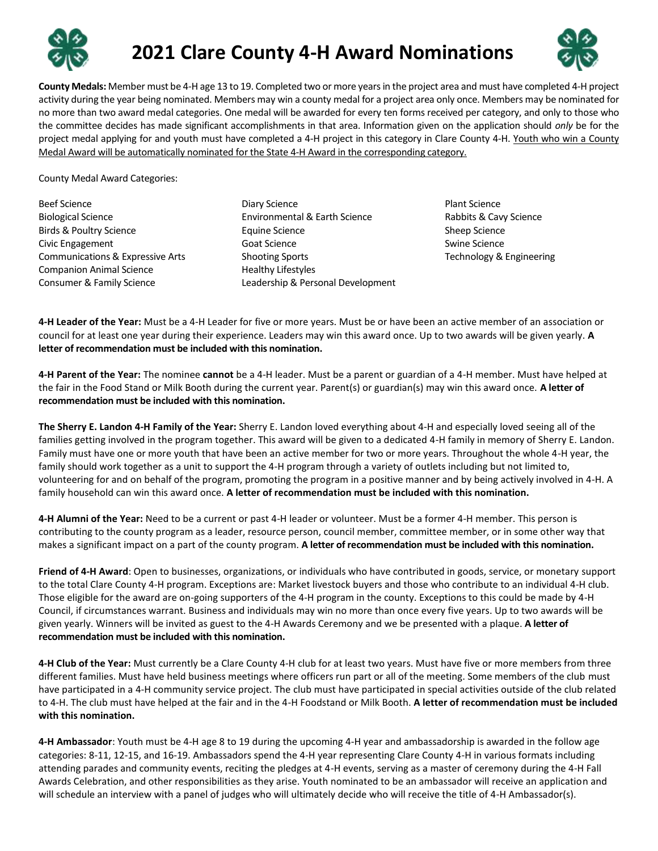



**County Medals:** Member must be 4-H age 13 to 19. Completed two or more years in the project area and must have completed 4-H project activity during the year being nominated. Members may win a county medal for a project area only once. Members may be nominated for no more than two award medal categories. One medal will be awarded for every ten forms received per category, and only to those who the committee decides has made significant accomplishments in that area. Information given on the application should *only* be for the project medal applying for and youth must have completed a 4-H project in this category in Clare County 4-H. Youth who win a County Medal Award will be automatically nominated for the State 4-H Award in the corresponding category.

County Medal Award Categories:

- Beef Science Biological Science Birds & Poultry Science Civic Engagement Communications & Expressive Arts Companion Animal Science Consumer & Family Science
- Diary Science Environmental & Earth Science Equine Science Goat Science Shooting Sports Healthy Lifestyles Leadership & Personal Development
- Plant Science Rabbits & Cavy Science Sheep Science Swine Science Technology & Engineering

**4-H Leader of the Year:** Must be a 4-H Leader for five or more years. Must be or have been an active member of an association or council for at least one year during their experience. Leaders may win this award once. Up to two awards will be given yearly. **A letter of recommendation must be included with this nomination.**

**4-H Parent of the Year:** The nominee **cannot** be a 4-H leader. Must be a parent or guardian of a 4-H member. Must have helped at the fair in the Food Stand or Milk Booth during the current year. Parent(s) or guardian(s) may win this award once. **A letter of recommendation must be included with this nomination.**

**The Sherry E. Landon 4-H Family of the Year:** Sherry E. Landon loved everything about 4-H and especially loved seeing all of the families getting involved in the program together. This award will be given to a dedicated 4-H family in memory of Sherry E. Landon. Family must have one or more youth that have been an active member for two or more years. Throughout the whole 4-H year, the family should work together as a unit to support the 4-H program through a variety of outlets including but not limited to, volunteering for and on behalf of the program, promoting the program in a positive manner and by being actively involved in 4-H. A family household can win this award once. **A letter of recommendation must be included with this nomination.**

**4-H Alumni of the Year:** Need to be a current or past 4-H leader or volunteer. Must be a former 4-H member. This person is contributing to the county program as a leader, resource person, council member, committee member, or in some other way that makes a significant impact on a part of the county program. **A letter of recommendation must be included with this nomination.**

**Friend of 4-H Award**: Open to businesses, organizations, or individuals who have contributed in goods, service, or monetary support to the total Clare County 4-H program. Exceptions are: Market livestock buyers and those who contribute to an individual 4-H club. Those eligible for the award are on-going supporters of the 4-H program in the county. Exceptions to this could be made by 4-H Council, if circumstances warrant. Business and individuals may win no more than once every five years. Up to two awards will be given yearly. Winners will be invited as guest to the 4-H Awards Ceremony and we be presented with a plaque. **A letter of recommendation must be included with this nomination.**

**4-H Club of the Year:** Must currently be a Clare County 4-H club for at least two years. Must have five or more members from three different families. Must have held business meetings where officers run part or all of the meeting. Some members of the club must have participated in a 4-H community service project. The club must have participated in special activities outside of the club related to 4-H. The club must have helped at the fair and in the 4-H Foodstand or Milk Booth. **A letter of recommendation must be included with this nomination.**

**4-H Ambassador**: Youth must be 4-H age 8 to 19 during the upcoming 4-H year and ambassadorship is awarded in the follow age categories: 8-11, 12-15, and 16-19. Ambassadors spend the 4-H year representing Clare County 4-H in various formats including attending parades and community events, reciting the pledges at 4-H events, serving as a master of ceremony during the 4-H Fall Awards Celebration, and other responsibilities as they arise. Youth nominated to be an ambassador will receive an application and will schedule an interview with a panel of judges who will ultimately decide who will receive the title of 4-H Ambassador(s).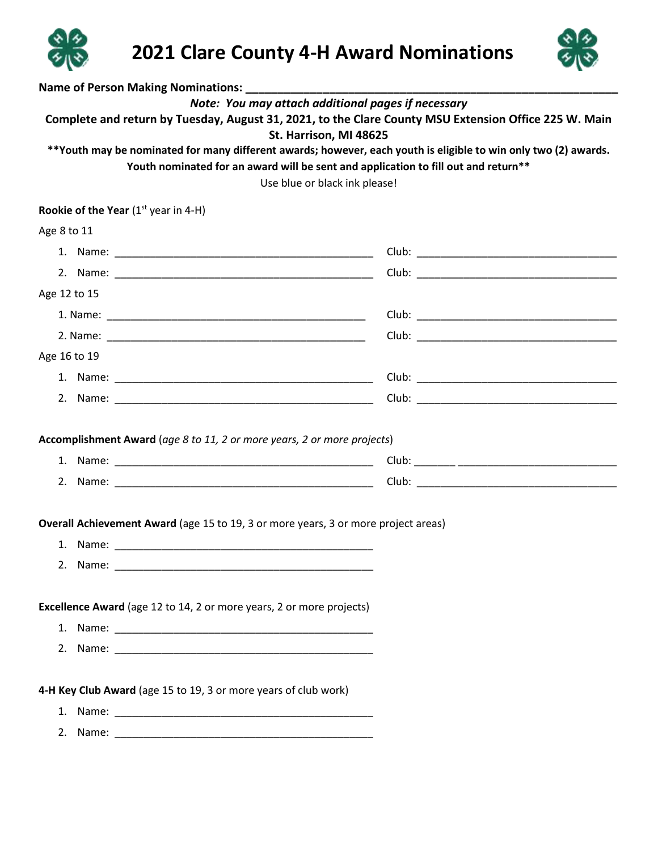



| Name of Person Making Nominations: _________                                                                                                                                                                                                                                                                                                                                                                                    |  |  |  |  |
|---------------------------------------------------------------------------------------------------------------------------------------------------------------------------------------------------------------------------------------------------------------------------------------------------------------------------------------------------------------------------------------------------------------------------------|--|--|--|--|
| Note: You may attach additional pages if necessary<br>Complete and return by Tuesday, August 31, 2021, to the Clare County MSU Extension Office 225 W. Main<br>St. Harrison, MI 48625<br>**Youth may be nominated for many different awards; however, each youth is eligible to win only two (2) awards.<br>Youth nominated for an award will be sent and application to fill out and return**<br>Use blue or black ink please! |  |  |  |  |
| <b>Rookie of the Year</b> ( $1st$ year in 4-H)                                                                                                                                                                                                                                                                                                                                                                                  |  |  |  |  |
| Age 8 to 11                                                                                                                                                                                                                                                                                                                                                                                                                     |  |  |  |  |
|                                                                                                                                                                                                                                                                                                                                                                                                                                 |  |  |  |  |
|                                                                                                                                                                                                                                                                                                                                                                                                                                 |  |  |  |  |
| Age 12 to 15                                                                                                                                                                                                                                                                                                                                                                                                                    |  |  |  |  |
|                                                                                                                                                                                                                                                                                                                                                                                                                                 |  |  |  |  |
|                                                                                                                                                                                                                                                                                                                                                                                                                                 |  |  |  |  |
| Age 16 to 19                                                                                                                                                                                                                                                                                                                                                                                                                    |  |  |  |  |
|                                                                                                                                                                                                                                                                                                                                                                                                                                 |  |  |  |  |
|                                                                                                                                                                                                                                                                                                                                                                                                                                 |  |  |  |  |
| Accomplishment Award (age 8 to 11, 2 or more years, 2 or more projects)                                                                                                                                                                                                                                                                                                                                                         |  |  |  |  |
|                                                                                                                                                                                                                                                                                                                                                                                                                                 |  |  |  |  |
|                                                                                                                                                                                                                                                                                                                                                                                                                                 |  |  |  |  |
|                                                                                                                                                                                                                                                                                                                                                                                                                                 |  |  |  |  |
| Overall Achievement Award (age 15 to 19, 3 or more years, 3 or more project areas)                                                                                                                                                                                                                                                                                                                                              |  |  |  |  |
|                                                                                                                                                                                                                                                                                                                                                                                                                                 |  |  |  |  |
|                                                                                                                                                                                                                                                                                                                                                                                                                                 |  |  |  |  |
| Excellence Award (age 12 to 14, 2 or more years, 2 or more projects)                                                                                                                                                                                                                                                                                                                                                            |  |  |  |  |
|                                                                                                                                                                                                                                                                                                                                                                                                                                 |  |  |  |  |
|                                                                                                                                                                                                                                                                                                                                                                                                                                 |  |  |  |  |
| 4-H Key Club Award (age 15 to 19, 3 or more years of club work)                                                                                                                                                                                                                                                                                                                                                                 |  |  |  |  |
|                                                                                                                                                                                                                                                                                                                                                                                                                                 |  |  |  |  |
|                                                                                                                                                                                                                                                                                                                                                                                                                                 |  |  |  |  |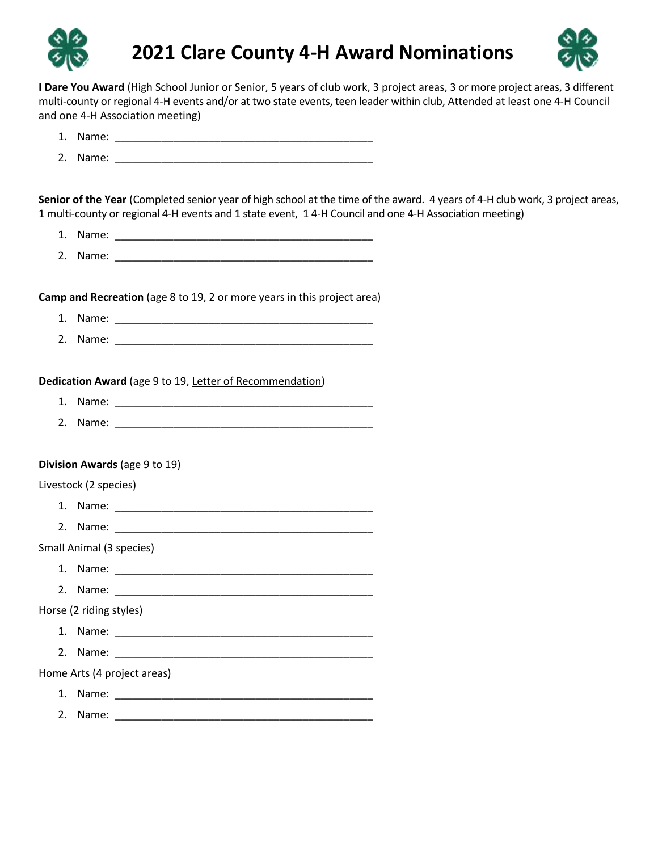



**I Dare You Award** (High School Junior or Senior, 5 years of club work, 3 project areas, 3 or more project areas, 3 different multi-county or regional 4-H events and/or at two state events, teen leader within club, Attended at least one 4-H Council and one 4-H Association meeting)

|                         | Senior of the Year (Completed senior year of high school at the time of the award. 4 years of 4-H club work, 3 project areas,<br>1 multi-county or regional 4-H events and 1 state event, 1 4-H Council and one 4-H Association meeting) |  |
|-------------------------|------------------------------------------------------------------------------------------------------------------------------------------------------------------------------------------------------------------------------------------|--|
|                         |                                                                                                                                                                                                                                          |  |
|                         |                                                                                                                                                                                                                                          |  |
|                         | Camp and Recreation (age 8 to 19, 2 or more years in this project area)                                                                                                                                                                  |  |
|                         |                                                                                                                                                                                                                                          |  |
|                         |                                                                                                                                                                                                                                          |  |
|                         | Dedication Award (age 9 to 19, Letter of Recommendation)                                                                                                                                                                                 |  |
|                         |                                                                                                                                                                                                                                          |  |
|                         |                                                                                                                                                                                                                                          |  |
|                         | Division Awards (age 9 to 19)                                                                                                                                                                                                            |  |
| Livestock (2 species)   |                                                                                                                                                                                                                                          |  |
|                         |                                                                                                                                                                                                                                          |  |
|                         |                                                                                                                                                                                                                                          |  |
|                         | Small Animal (3 species)                                                                                                                                                                                                                 |  |
|                         |                                                                                                                                                                                                                                          |  |
|                         |                                                                                                                                                                                                                                          |  |
| Horse (2 riding styles) |                                                                                                                                                                                                                                          |  |
|                         |                                                                                                                                                                                                                                          |  |
|                         |                                                                                                                                                                                                                                          |  |
|                         | Home Arts (4 project areas)                                                                                                                                                                                                              |  |
|                         |                                                                                                                                                                                                                                          |  |
|                         |                                                                                                                                                                                                                                          |  |

2. Name: \_\_\_\_\_\_\_\_\_\_\_\_\_\_\_\_\_\_\_\_\_\_\_\_\_\_\_\_\_\_\_\_\_\_\_\_\_\_\_\_\_\_\_\_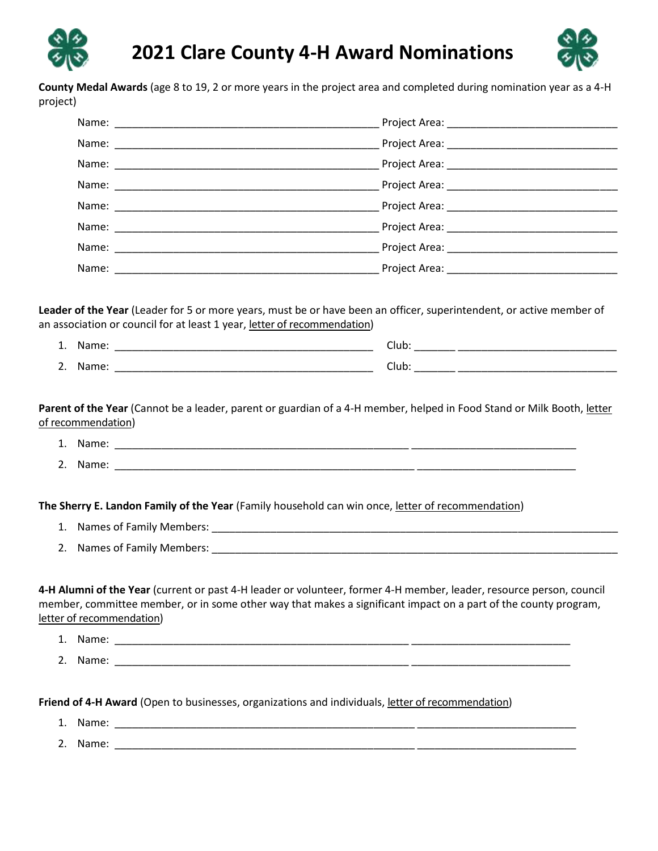



**County Medal Awards** (age 8 to 19, 2 or more years in the project area and completed during nomination year as a 4-H project)

| 4            | $ -$  | -     |
|--------------|-------|-------|
| <b>.</b>     | ᇭᇉ    | lub   |
| <sup>-</sup> | M     | -     |
|              | απις. | ⊂lub' |

**Parent of the Year** (Cannot be a leader, parent or guardian of a 4-H member, helped in Food Stand or Milk Booth, letter of recommendation)

- 1. Name: \_\_\_\_\_\_\_\_\_\_\_\_\_\_\_\_\_\_\_\_\_\_\_\_\_\_\_\_\_\_\_\_\_\_\_\_\_\_\_\_\_\_\_\_\_\_\_\_\_\_ \_\_\_\_\_\_\_\_\_\_\_\_\_\_\_\_\_\_\_\_\_\_\_\_\_\_\_\_
- 2. Name: \_\_\_\_\_\_\_\_\_\_\_\_\_\_\_\_\_\_\_\_\_\_\_\_\_\_\_\_\_\_\_\_\_\_\_\_\_\_\_\_\_\_\_\_\_\_\_\_\_\_\_ \_\_\_\_\_\_\_\_\_\_\_\_\_\_\_\_\_\_\_\_\_\_\_\_\_\_\_

**The Sherry E. Landon Family of the Year** (Family household can win once, letter of recommendation)

- 1. Names of Family Members: \_\_\_\_\_\_\_\_\_\_\_\_\_\_\_\_\_\_\_\_\_\_\_\_\_\_\_\_\_\_\_\_\_\_\_\_\_\_\_\_\_\_\_\_\_\_\_\_\_\_\_\_\_\_\_\_\_\_\_\_\_\_\_\_\_\_\_\_\_
- 2. Names of Family Members: \_\_\_\_\_\_\_\_\_\_\_\_\_\_\_\_\_\_\_\_\_\_\_\_\_\_\_\_\_\_\_\_\_\_\_\_\_\_\_\_\_\_\_\_\_\_\_\_\_\_\_\_\_\_\_\_\_\_\_\_\_\_\_\_\_\_\_\_\_

**4-H Alumni of the Year** (current or past 4-H leader or volunteer, former 4-H member, leader, resource person, council member, committee member, or in some other way that makes a significant impact on a part of the county program, letter of recommendation)

- 1. Name: \_\_\_\_\_\_\_\_\_\_\_\_\_\_\_\_\_\_\_\_\_\_\_\_\_\_\_\_\_\_\_\_\_\_\_\_\_\_\_\_\_\_\_\_\_\_\_\_\_\_ \_\_\_\_\_\_\_\_\_\_\_\_\_\_\_\_\_\_\_\_\_\_\_\_\_\_\_
- 2. Name: \_\_\_\_\_\_\_\_\_\_\_\_\_\_\_\_\_\_\_\_\_\_\_\_\_\_\_\_\_\_\_\_\_\_\_\_\_\_\_\_\_\_\_\_\_\_\_\_\_\_ \_\_\_\_\_\_\_\_\_\_\_\_\_\_\_\_\_\_\_\_\_\_\_\_\_\_\_

**Friend of 4-H Award** (Open to businesses, organizations and individuals, letter of recommendation)

- 1. Name: \_\_\_\_\_\_\_\_\_\_\_\_\_\_\_\_\_\_\_\_\_\_\_\_\_\_\_\_\_\_\_\_\_\_\_\_\_\_\_\_\_\_\_\_\_\_\_\_\_\_\_ \_\_\_\_\_\_\_\_\_\_\_\_\_\_\_\_\_\_\_\_\_\_\_\_\_\_\_
- 2. Name: \_\_\_\_\_\_\_\_\_\_\_\_\_\_\_\_\_\_\_\_\_\_\_\_\_\_\_\_\_\_\_\_\_\_\_\_\_\_\_\_\_\_\_\_\_\_\_\_\_\_\_ \_\_\_\_\_\_\_\_\_\_\_\_\_\_\_\_\_\_\_\_\_\_\_\_\_\_\_